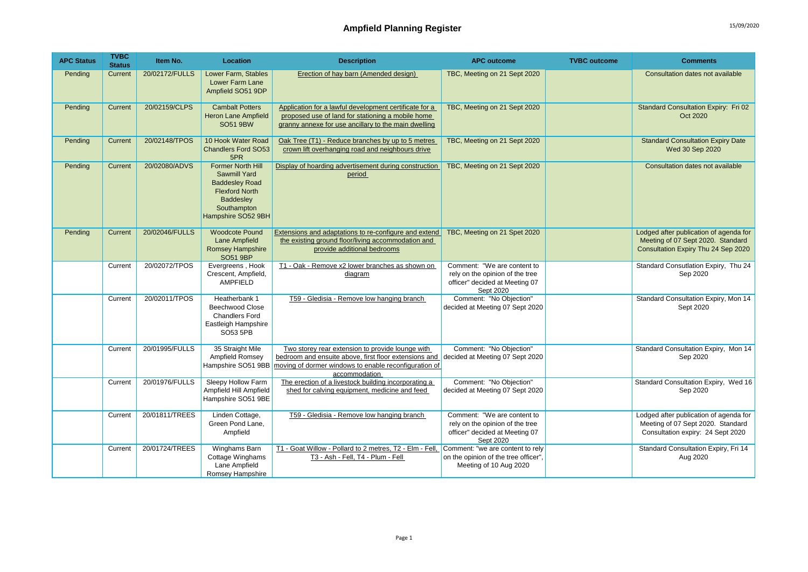| <b>APC Status</b> | <b>TVBC</b><br><b>Status</b> | Item No.       | Location                                                                                                                                                   | <b>Description</b>                                                                                                                                                                  | <b>APC outcome</b>                                                                                            | <b>TVBC</b> outcome | <b>Comments</b>                                                                                                    |
|-------------------|------------------------------|----------------|------------------------------------------------------------------------------------------------------------------------------------------------------------|-------------------------------------------------------------------------------------------------------------------------------------------------------------------------------------|---------------------------------------------------------------------------------------------------------------|---------------------|--------------------------------------------------------------------------------------------------------------------|
| Pending           | Current                      | 20/02172/FULLS | Lower Farm, Stables<br>Lower Farm Lane<br>Ampfield SO51 9DP                                                                                                | Erection of hay barn (Amended design)                                                                                                                                               | TBC, Meeting on 21 Sept 2020                                                                                  |                     | Consultation dates not available                                                                                   |
| Pending           | Current                      | 20/02159/CLPS  | <b>Cambalt Potters</b><br><b>Heron Lane Ampfield</b><br><b>SO51 9BW</b>                                                                                    | Application for a lawful development certificate for a<br>proposed use of land for stationing a mobile home<br>granny annexe for use ancillary to the main dwelling                 | TBC, Meeting on 21 Sept 2020                                                                                  |                     | Standard Consultation Expiry: Fri 02<br>Oct 2020                                                                   |
| Pending           | <b>Current</b>               | 20/02148/TPOS  | 10 Hook Water Road<br><b>Chandlers Ford SO53</b><br>5PR                                                                                                    | Oak Tree (T1) - Reduce branches by up to 5 metres<br>crown lift overhanging road and neighbours drive                                                                               | TBC, Meeting on 21 Sept 2020                                                                                  |                     | <b>Standard Consultation Expiry Date</b><br>Wed 30 Sep 2020                                                        |
| Pending           | Current                      | 20/02080/ADVS  | <b>Former North Hill</b><br><b>Sawmill Yard</b><br><b>Baddesley Road</b><br><b>Flexford North</b><br><b>Baddesley</b><br>Southampton<br>Hampshire SO52 9BH | Display of hoarding advertisement during construction<br>period                                                                                                                     | TBC, Meeting on 21 Sept 2020                                                                                  |                     | Consultation dates not available                                                                                   |
| Pending           | Current                      | 20/02046/FULLS | <b>Woodcote Pound</b><br>Lane Ampfield<br><b>Romsey Hampshire</b><br><b>SO51 9BP</b>                                                                       | <b>Extensions and adaptations to re-configure and extend</b><br>the existing ground floor/living accommodation and<br>provide additional bedrooms                                   | TBC, Meeting on 21 Spet 2020                                                                                  |                     | Lodged after publication of agenda for<br>Meeting of 07 Sept 2020. Standard<br>Consultation Expiry Thu 24 Sep 2020 |
|                   | Current                      | 20/02072/TPOS  | Evergreens, Hook<br>Crescent, Ampfield,<br>AMPFIELD                                                                                                        | T1 - Oak - Remove x2 lower branches as shown on<br><u>diagram</u>                                                                                                                   | Comment: "We are content to<br>rely on the opinion of the tree<br>officer" decided at Meeting 07<br>Sept 2020 |                     | Standard Consutlation Expiry, Thu 24<br>Sep 2020                                                                   |
|                   | Current                      | 20/02011/TPOS  | Heatherbank 1<br><b>Beechwood Close</b><br><b>Chandlers Ford</b><br>Eastleigh Hampshire<br>SO53 5PB                                                        | T59 - Gledisia - Remove low hanging branch                                                                                                                                          | Comment: "No Objection"<br>decided at Meeting 07 Sept 2020                                                    |                     | Standard Consultation Expiry, Mon 14<br>Sept 2020                                                                  |
|                   | Current                      | 20/01995/FULLS | 35 Straight Mile<br>Ampfield Romsey<br>Hampshire SO51 9BB                                                                                                  | Two storey rear extension to provide lounge with<br>bedroom and ensuite above, first floor extensions and<br>moving of dormer windows to enable reconfiguration of<br>accommodation | Comment: "No Objection"<br>decided at Meeting 07 Sept 2020                                                    |                     | Standard Consultation Expiry, Mon 14<br>Sep 2020                                                                   |
|                   | Current                      | 20/01976/FULLS | Sleepy Hollow Farm<br>Ampfield Hill Ampfield<br>Hampshire SO51 9BE                                                                                         | The erection of a livestock building incorporating a<br>shed for calving equipment, medicine and feed                                                                               | Comment: "No Objection"<br>decided at Meeting 07 Sept 2020                                                    |                     | Standard Consultation Expiry, Wed 16<br>Sep 2020                                                                   |
|                   | Current                      | 20/01811/TREES | Linden Cottage,<br>Green Pond Lane.<br>Ampfield                                                                                                            | T59 - Gledisia - Remove low hanging branch                                                                                                                                          | Comment: "We are content to<br>rely on the opinion of the tree<br>officer" decided at Meeting 07<br>Sept 2020 |                     | Lodged after publication of agenda for<br>Meeting of 07 Sept 2020. Standard<br>Consultation expiry: 24 Sept 2020   |
|                   | Current                      | 20/01724/TREES | Winghams Barn<br>Cottage Winghams<br>Lane Ampfield<br>Romsey Hampshire                                                                                     | T1 - Goat Willow - Pollard to 2 metres, T2 - Elm - Fell, Comment: "we are content to rely<br>T3 - Ash - Fell, T4 - Plum - Fell                                                      | on the opinion of the tree officer".<br>Meeting of 10 Aug 2020                                                |                     | Standard Consultation Expiry, Fri 14<br>Aug 2020                                                                   |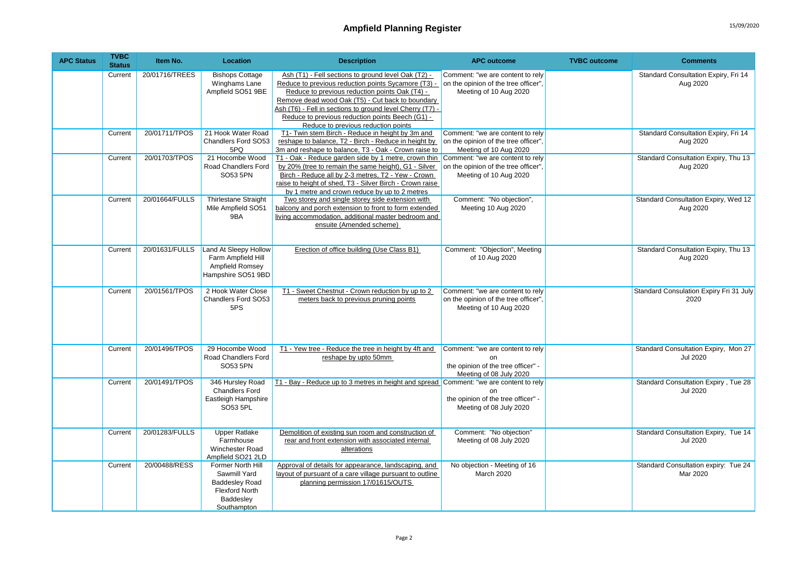| <b>APC Status</b> | <b>TVBC</b><br><b>Status</b> | Item No.       | Location                                                                                                        | <b>Description</b>                                                                                                                                                                                                                                                                                                                                                       | <b>APC outcome</b>                                                                                      | <b>TVBC</b> outcome | <b>Comments</b>                                         |
|-------------------|------------------------------|----------------|-----------------------------------------------------------------------------------------------------------------|--------------------------------------------------------------------------------------------------------------------------------------------------------------------------------------------------------------------------------------------------------------------------------------------------------------------------------------------------------------------------|---------------------------------------------------------------------------------------------------------|---------------------|---------------------------------------------------------|
|                   | Current                      | 20/01716/TREES | <b>Bishops Cottage</b><br>Winghams Lane<br>Ampfield SO51 9BE                                                    | Ash (T1) - Fell sections to ground level Oak (T2) -<br>Reduce to previous reduction points Sycamore (T3) -<br>Reduce to previous reduction points Oak (T4) -<br>Remove dead wood Oak (T5) - Cut back to boundary<br>Ash (T6) - Fell in sections to ground level Cherry (T7) -<br>Reduce to previous reduction points Beech (G1) -<br>Reduce to previous reduction points | Comment: "we are content to rely<br>on the opinion of the tree officer",<br>Meeting of 10 Aug 2020      |                     | Standard Consultation Expiry, Fri 14<br>Aug 2020        |
|                   | Current                      | 20/01711/TPOS  | 21 Hook Water Road<br>Chandlers Ford SO53<br>5PQ                                                                | T1- Twin stem Birch - Reduce in height by 3m and<br>reshape to balance, T2 - Birch - Reduce in height by<br>3m and reshape to balance, T3 - Oak - Crown raise to                                                                                                                                                                                                         | Comment: "we are content to rely<br>on the opinion of the tree officer",<br>Meeting of 10 Aug 2020      |                     | Standard Consultation Expiry, Fri 14<br>Aug 2020        |
|                   | Current                      | 20/01703/TPOS  | 21 Hocombe Wood<br>Road Chandlers Ford<br>SO53 5PN                                                              | T1 - Oak - Reduce garden side by 1 metre, crown thin Comment: "we are content to rely<br>by 20% (tree to remain the same height), G1 - Silver<br>Birch - Reduce all by 2-3 metres, T2 - Yew - Crown<br>raise to height of shed, T3 - Silver Birch - Crown raise<br>by 1 metre and crown reduce by up to 2 metres                                                         | on the opinion of the tree officer",<br>Meeting of 10 Aug 2020                                          |                     | Standard Consultation Expiry, Thu 13<br>Aug 2020        |
|                   | Current                      | 20/01664/FULLS | <b>Thirlestane Straight</b><br>Mile Ampfield SO51<br>9BA                                                        | Two storey and single storey side extension with<br>balcony and porch extension to front to form extended<br>living accommodation, additional master bedroom and<br>ensuite (Amended scheme)                                                                                                                                                                             | Comment: "No objection",<br>Meeting 10 Aug 2020                                                         |                     | Standard Consultation Expiry, Wed 12<br>Aug 2020        |
|                   | Current                      | 20/01631/FULLS | Land At Sleepy Hollow<br>Farm Ampfield Hill<br>Ampfield Romsey<br>Hampshire SO51 9BD                            | Erection of office building (Use Class B1)                                                                                                                                                                                                                                                                                                                               | Comment: "Objection", Meeting<br>of 10 Aug 2020                                                         |                     | Standard Consultation Expiry, Thu 13<br>Aug 2020        |
|                   | Current                      | 20/01561/TPOS  | 2 Hook Water Close<br><b>Chandlers Ford SO53</b><br>5PS                                                         | T1 - Sweet Chestnut - Crown reduction by up to 2<br>meters back to previous pruning points                                                                                                                                                                                                                                                                               | Comment: "we are content to rely<br>on the opinion of the tree officer",<br>Meeting of 10 Aug 2020      |                     | Standard Consulation Expiry Fri 31 July<br>2020         |
|                   | Current                      | 20/01496/TPOS  | 29 Hocombe Wood<br>Road Chandlers Ford<br>SO53 5PN                                                              | T1 - Yew tree - Reduce the tree in height by 4ft and<br>reshape by upto 50mm                                                                                                                                                                                                                                                                                             | Comment: "we are content to rely<br>on<br>the opinion of the tree officer" -<br>Meeting of 08 July 2020 |                     | Standard Consultation Expiry, Mon 27<br><b>Jul 2020</b> |
|                   | Current                      | 20/01491/TPOS  | 346 Hursley Road<br><b>Chandlers Ford</b><br>Eastleigh Hampshire<br>SO53 5PL                                    | T1 - Bay - Reduce up to 3 metres in height and spread Comment: "we are content to rely                                                                                                                                                                                                                                                                                   | nn<br>the opinion of the tree officer" -<br>Meeting of 08 July 2020                                     |                     | Standard Consultation Expiry, Tue 28<br><b>Jul 2020</b> |
|                   | Current                      | 20/01283/FULLS | <b>Upper Ratlake</b><br>Farmhouse<br>Winchester Road<br>Ampfield SO21 2LD                                       | Demolition of existing sun room and construction of<br>rear and front extension with associated internal<br>alterations                                                                                                                                                                                                                                                  | Comment: "No objection"<br>Meeting of 08 July 2020                                                      |                     | Standard Consultation Expiry, Tue 14<br><b>Jul 2020</b> |
|                   | Current                      | 20/00488/RESS  | Former North Hill<br>Sawmill Yard<br><b>Baddesley Road</b><br><b>Flexford North</b><br>Baddesley<br>Southampton | Approval of details for appearance, landscaping, and<br>layout of pursuant of a care village pursuant to outline<br>planning permission 17/01615/OUTS                                                                                                                                                                                                                    | No objection - Meeting of 16<br>March 2020                                                              |                     | Standard Consultation expiry: Tue 24<br>Mar 2020        |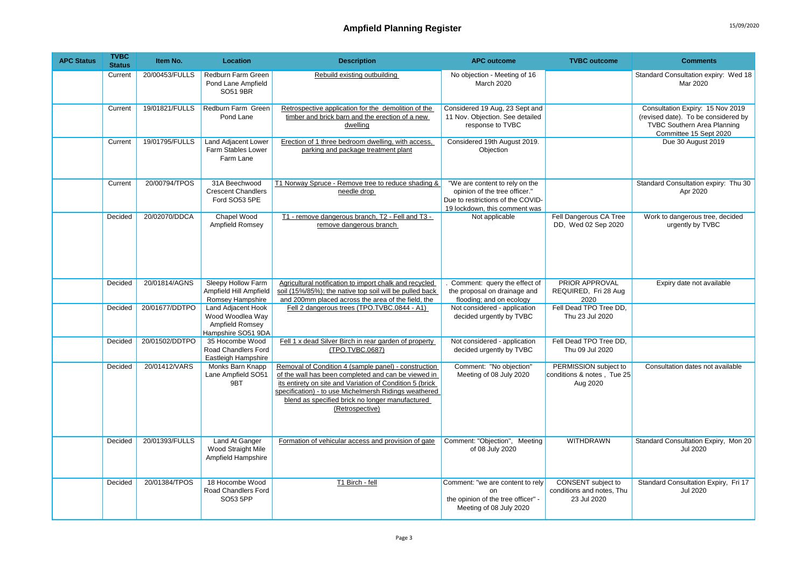| <b>APC Status</b> | <b>TVBC</b><br><b>Status</b> | Item No.       | Location                                                                        | <b>Description</b>                                                                                                                                                                                                                                                                                     | <b>APC outcome</b>                                                                                                                    | <b>TVBC</b> outcome                                             | <b>Comments</b>                                                                                                                         |
|-------------------|------------------------------|----------------|---------------------------------------------------------------------------------|--------------------------------------------------------------------------------------------------------------------------------------------------------------------------------------------------------------------------------------------------------------------------------------------------------|---------------------------------------------------------------------------------------------------------------------------------------|-----------------------------------------------------------------|-----------------------------------------------------------------------------------------------------------------------------------------|
|                   | Current                      | 20/00453/FULLS | Redburn Farm Green<br>Pond Lane Ampfield<br>SO51 9BR                            | Rebuild existing outbuilding                                                                                                                                                                                                                                                                           | No objection - Meeting of 16<br>March 2020                                                                                            |                                                                 | Standard Consultation expiry: Wed 18<br>Mar 2020                                                                                        |
|                   | Current                      | 19/01821/FULLS | Redburn Farm Green<br>Pond Lane                                                 | Retrospective application for the demolition of the<br>timber and brick barn and the erection of a new<br>dwelling                                                                                                                                                                                     | Considered 19 Aug, 23 Sept and<br>11 Nov. Objection. See detailed<br>response to TVBC                                                 |                                                                 | Consultation Expiry: 15 Nov 2019<br>(revised date). To be considered by<br><b>TVBC Southern Area Planning</b><br>Committee 15 Sept 2020 |
|                   | Current                      | 19/01795/FULLS | <b>Land Adjacent Lower</b><br><b>Farm Stables Lower</b><br>Farm Lane            | Erection of 1 three bedroom dwelling, with access,<br>parking and package treatment plant                                                                                                                                                                                                              | Considered 19th August 2019.<br>Objection                                                                                             |                                                                 | Due 30 August 2019                                                                                                                      |
|                   | Current                      | 20/00794/TPOS  | 31A Beechwood<br><b>Crescent Chandlers</b><br>Ford SO53 5PE                     | T1 Norway Spruce - Remove tree to reduce shading &<br>needle drop                                                                                                                                                                                                                                      | "We are content to rely on the<br>opinion of the tree officer."<br>Due to restrictions of the COVID-<br>19 lockdown, this comment was |                                                                 | Standard Consultation expiry: Thu 30<br>Apr 2020                                                                                        |
|                   | Decided                      | 20/02070/DDCA  | Chapel Wood<br>Ampfield Romsey                                                  | T1 - remove dangerous branch, T2 - Fell and T3 -<br>remove dangerous branch                                                                                                                                                                                                                            | Not applicable                                                                                                                        | Fell Dangerous CA Tree<br>DD, Wed 02 Sep 2020                   | Work to dangerous tree, decided<br>urgently by TVBC                                                                                     |
|                   | Decided                      | 20/01814/AGNS  | Sleepy Hollow Farm<br>Ampfield Hill Ampfield<br>Romsey Hampshire                | Agricultural notification to import chalk and recycled<br>soil (15%/85%); the native top soil will be pulled back<br>and 200mm placed across the area of the field, the                                                                                                                                | Comment: query the effect of<br>the proposal on drainage and<br>flooding; and on ecology                                              | PRIOR APPROVAL<br>REQUIRED, Fri 28 Aug<br>2020                  | Expiry date not available                                                                                                               |
|                   | Decided                      | 20/01677/DDTPO | Land Adjacent Hook<br>Wood Woodlea Way<br>Ampfield Romsey<br>Hampshire SO51 9DA | Fell 2 dangerous trees (TPO.TVBC.0844 - A1)                                                                                                                                                                                                                                                            | Not considered - application<br>decided urgently by TVBC                                                                              | Fell Dead TPO Tree DD,<br>Thu 23 Jul 2020                       |                                                                                                                                         |
|                   | Decided                      | 20/01502/DDTPO | 35 Hocombe Wood<br>Road Chandlers Ford<br>Eastleigh Hampshire                   | Fell 1 x dead Silver Birch in rear garden of property<br>(TPO.TVBC.0687)                                                                                                                                                                                                                               | Not considered - application<br>decided urgently by TVBC                                                                              | Fell Dead TPO Tree DD.<br>Thu 09 Jul 2020                       |                                                                                                                                         |
|                   | Decided                      | 20/01412/VARS  | Monks Barn Knapp<br>Lane Ampfield SO51<br>9BT                                   | Removal of Condition 4 (sample panel) - construction<br>of the wall has been completed and can be viewed in<br>its entirety on site and Variation of Condition 5 (brick<br>specification) - to use Michelmersh Ridings weathered<br>blend as specified brick no longer manufactured<br>(Retrospective) | Comment: "No objection"<br>Meeting of 08 July 2020                                                                                    | PERMISSION subject to<br>conditions & notes, Tue 25<br>Aug 2020 | Consultation dates not available                                                                                                        |
|                   | Decided                      | 20/01393/FULLS | Land At Ganger<br>Wood Straight Mile<br>Ampfield Hampshire                      | Formation of vehicular access and provision of gate                                                                                                                                                                                                                                                    | Comment: "Objection", Meeting<br>of 08 July 2020                                                                                      | <b>WITHDRAWN</b>                                                | Standard Consultation Expiry, Mon 20<br><b>Jul 2020</b>                                                                                 |
|                   | Decided                      | 20/01384/TPOS  | 18 Hocombe Wood<br>Road Chandlers Ford<br>SO53 5PP                              | T1 Birch - fell                                                                                                                                                                                                                                                                                        | Comment: "we are content to rely<br>on<br>the opinion of the tree officer" -<br>Meeting of 08 July 2020                               | CONSENT subject to<br>conditions and notes, Thu<br>23 Jul 2020  | Standard Consultation Expiry, Fri 17<br><b>Jul 2020</b>                                                                                 |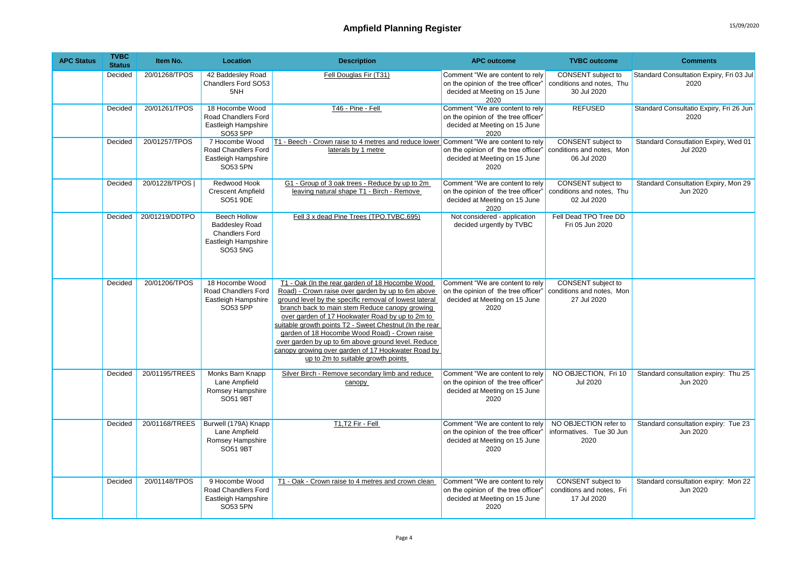| <b>APC Status</b> | <b>TVBC</b><br><b>Status</b> | Item No.       | Location                                                                                          | <b>Description</b>                                                                                                                                                                                                                                                                                                                                                                                                                                                                                                                | <b>APC outcome</b>                                                                                              | <b>TVBC</b> outcome                                            | <b>Comments</b>                                         |
|-------------------|------------------------------|----------------|---------------------------------------------------------------------------------------------------|-----------------------------------------------------------------------------------------------------------------------------------------------------------------------------------------------------------------------------------------------------------------------------------------------------------------------------------------------------------------------------------------------------------------------------------------------------------------------------------------------------------------------------------|-----------------------------------------------------------------------------------------------------------------|----------------------------------------------------------------|---------------------------------------------------------|
|                   | Decided                      | 20/01268/TPOS  | 42 Baddesley Road<br>Chandlers Ford SO53<br>5NH                                                   | Fell Douglas Fir (T31)                                                                                                                                                                                                                                                                                                                                                                                                                                                                                                            | Comment "We are content to rely<br>on the opinion of the tree officer"<br>decided at Meeting on 15 June<br>2020 | CONSENT subject to<br>conditions and notes, Thu<br>30 Jul 2020 | Standard Consultation Expiry, Fri 03 Jul<br>2020        |
|                   | Decided                      | 20/01261/TPOS  | 18 Hocombe Wood<br>Road Chandlers Ford<br>Eastleigh Hampshire<br>SO53 5PP                         | T46 - Pine - Fell                                                                                                                                                                                                                                                                                                                                                                                                                                                                                                                 | Comment "We are content to rely<br>on the opinion of the tree officer'<br>decided at Meeting on 15 June<br>2020 | <b>REFUSED</b>                                                 | Standard Consultatio Expiry, Fri 26 Jun<br>2020         |
|                   | Decided                      | 20/01257/TPOS  | 7 Hocombe Wood<br>Road Chandlers Ford<br>Eastleigh Hampshire<br>SO53 5PN                          | T1 - Beech - Crown raise to 4 metres and reduce lower Comment "We are content to rely<br>laterals by 1 metre                                                                                                                                                                                                                                                                                                                                                                                                                      | on the opinion of the tree officer"<br>decided at Meeting on 15 June<br>2020                                    | CONSENT subject to<br>conditions and notes, Mon<br>06 Jul 2020 | Standard Consutlation Expiry, Wed 01<br><b>Jul 2020</b> |
|                   | Decided                      | 20/01228/TPOS  | Redwood Hook<br><b>Crescent Ampfield</b><br>SO51 9DE                                              | G1 - Group of 3 oak trees - Reduce by up to 2m<br>leaving natural shape T1 - Birch - Remove                                                                                                                                                                                                                                                                                                                                                                                                                                       | Comment "We are content to rely<br>on the opinion of the tree officer"<br>decided at Meeting on 15 June<br>2020 | CONSENT subject to<br>conditions and notes. Thu<br>02 Jul 2020 | Standard Consultation Expiry, Mon 29<br>Jun 2020        |
|                   | Decided                      | 20/01219/DDTPO | Beech Hollow<br><b>Baddesley Road</b><br><b>Chandlers Ford</b><br>Eastleigh Hampshire<br>SO53 5NG | Fell 3 x dead Pine Trees (TPO.TVBC.695)                                                                                                                                                                                                                                                                                                                                                                                                                                                                                           | Not considered - application<br>decided urgently by TVBC                                                        | Fell Dead TPO Tree DD<br>Fri 05 Jun 2020                       |                                                         |
|                   | Decided                      | 20/01206/TPOS  | 18 Hocombe Wood<br>Road Chandlers Ford<br>Eastleigh Hampshire<br>SO53 5PP                         | T1 - Oak (In the rear garden of 18 Hocombe Wood<br>Road) - Crown raise over garden by up to 6m above<br>ground level by the specific removal of lowest lateral<br>branch back to main stem Reduce canopy growing<br>over garden of 17 Hookwater Road by up to 2m to<br>suitable growth points T2 - Sweet Chestnut (In the rear<br>garden of 18 Hocombe Wood Road) - Crown raise<br>over garden by up to 6m above ground level. Reduce<br>canopy growing over garden of 17 Hookwater Road by<br>up to 2m to suitable growth points | Comment "We are content to rely<br>on the opinion of the tree officer"<br>decided at Meeting on 15 June<br>2020 | CONSENT subject to<br>conditions and notes, Mon<br>27 Jul 2020 |                                                         |
|                   | Decided                      | 20/01195/TREES | Monks Barn Knapp<br>Lane Ampfield<br>Romsey Hampshire<br>SO51 9BT                                 | Silver Birch - Remove secondary limb and reduce<br>canopy                                                                                                                                                                                                                                                                                                                                                                                                                                                                         | Comment "We are content to rely<br>on the opinion of the tree officer'<br>decided at Meeting on 15 June<br>2020 | NO OBJECTION, Fri 10<br><b>Jul 2020</b>                        | Standard consultation expiry: Thu 25<br>Jun 2020        |
|                   | Decided                      | 20/01168/TREES | Burwell (179A) Knapp<br>Lane Ampfield<br>Romsey Hampshire<br>SO51 9BT                             | T1,T2 Fir - Fell                                                                                                                                                                                                                                                                                                                                                                                                                                                                                                                  | Comment "We are content to rely<br>on the opinion of the tree officer'<br>decided at Meeting on 15 June<br>2020 | NO OBJECTION refer to<br>informatives. Tue 30 Jun<br>2020      | Standard consultation expiry: Tue 23<br>Jun 2020        |
|                   | Decided                      | 20/01148/TPOS  | 9 Hocombe Wood<br>Road Chandlers Ford<br>Eastleigh Hampshire<br>SO53 5PN                          | T1 - Oak - Crown raise to 4 metres and crown clean                                                                                                                                                                                                                                                                                                                                                                                                                                                                                | Comment "We are content to rely<br>on the opinion of the tree officer'<br>decided at Meeting on 15 June<br>2020 | CONSENT subject to<br>conditions and notes, Fri<br>17 Jul 2020 | Standard consultation expiry: Mon 22<br>Jun 2020        |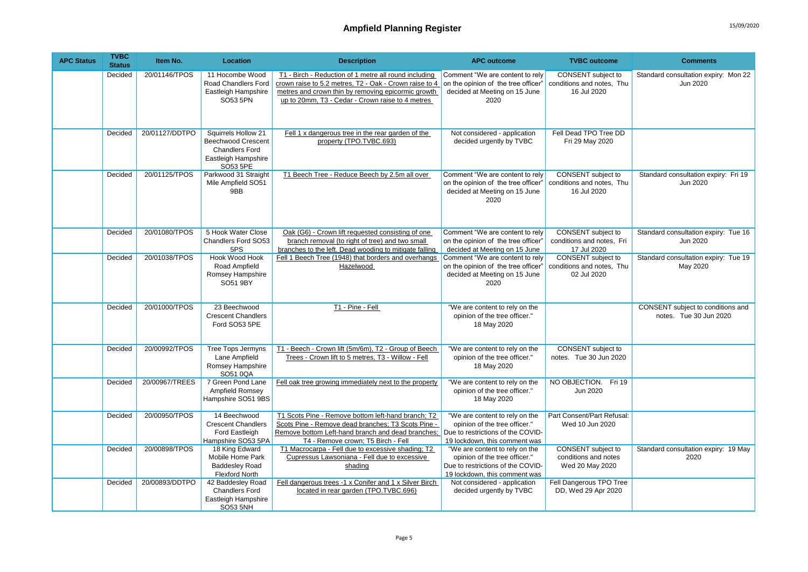| <b>APC Status</b> | <b>TVBC</b><br><b>Status</b> | Item No.       | Location                                                                                                     | <b>Description</b>                                                                                                                                                                                                                    | <b>APC outcome</b>                                                                                                                    | <b>TVBC</b> outcome                                                   | <b>Comments</b>                                             |
|-------------------|------------------------------|----------------|--------------------------------------------------------------------------------------------------------------|---------------------------------------------------------------------------------------------------------------------------------------------------------------------------------------------------------------------------------------|---------------------------------------------------------------------------------------------------------------------------------------|-----------------------------------------------------------------------|-------------------------------------------------------------|
|                   | Decided                      | 20/01146/TPOS  | 11 Hocombe Wood<br>Road Chandlers Ford<br>Eastleigh Hampshire<br>SO53 5PN                                    | T1 - Birch - Reduction of 1 metre all round including<br>crown raise to 5.2 metres, T2 - Oak - Crown raise to 4<br>metres and crown thin by removing epicormic growth<br>up to 20mm, T3 - Cedar - Crown raise to 4 metres             | Comment "We are content to rely<br>on the opinion of the tree officer"<br>decided at Meeting on 15 June<br>2020                       | CONSENT subject to<br>conditions and notes. Thu<br>16 Jul 2020        | Standard consultation expiry: Mon 22<br>Jun 2020            |
|                   | Decided                      | 20/01127/DDTPO | Squirrels Hollow 21<br><b>Beechwood Crescent</b><br><b>Chandlers Ford</b><br>Eastleigh Hampshire<br>SO53 5PE | Fell 1 x dangerous tree in the rear garden of the<br>property (TPO.TVBC.693)                                                                                                                                                          | Not considered - application<br>decided urgently by TVBC                                                                              | Fell Dead TPO Tree DD<br>Fri 29 May 2020                              |                                                             |
|                   | Decided                      | 20/01125/TPOS  | Parkwood 31 Straight<br>Mile Ampfield SO51<br>9BB                                                            | T1 Beech Tree - Reduce Beech by 2.5m all over                                                                                                                                                                                         | Comment "We are content to rely<br>on the opinion of the tree officer"<br>decided at Meeting on 15 June<br>2020                       | CONSENT subject to<br>conditions and notes. Thu<br>16 Jul 2020        | Standard consultation expiry: Fri 19<br>Jun 2020            |
|                   | Decided                      | 20/01080/TPOS  | 5 Hook Water Close<br>Chandlers Ford SO53<br>5PS                                                             | Oak (G6) - Crown lift requested consisting of one<br>branch removal (to right of tree) and two small<br>branches to the left. Dead wooding to mitigate falling                                                                        | Comment "We are content to rely<br>on the opinion of the tree officer'<br>decided at Meeting on 15 June                               | CONSENT subject to<br>conditions and notes, Fri<br>17 Jul 2020        | Standard consultation expiry: Tue 16<br>Jun 2020            |
|                   | Decided                      | 20/01038/TPOS  | <b>Hook Wood Hook</b><br>Road Ampfield<br>Romsey Hampshire<br>SO51 9BY                                       | Fell 1 Beech Tree (1948) that borders and overhangs<br>Hazelwood                                                                                                                                                                      | Comment "We are content to rely<br>on the opinion of the tree officer"<br>decided at Meeting on 15 June<br>2020                       | <b>CONSENT</b> subject to<br>conditions and notes. Thu<br>02 Jul 2020 | Standard consultation expiry: Tue 19<br>May 2020            |
|                   | Decided                      | 20/01000/TPOS  | 23 Beechwood<br><b>Crescent Chandlers</b><br>Ford SO53 5PE                                                   | T1 - Pine - Fell                                                                                                                                                                                                                      | "We are content to rely on the<br>opinion of the tree officer."<br>18 May 2020                                                        |                                                                       | CONSENT subject to conditions and<br>notes. Tue 30 Jun 2020 |
|                   | Decided                      | 20/00992/TPOS  | <b>Tree Tops Jermyns</b><br>Lane Ampfield<br>Romsey Hampshire<br>SO51 0QA                                    | T1 - Beech - Crown lift (5m/6m), T2 - Group of Beech<br>Trees - Crown lift to 5 metres, T3 - Willow - Fell                                                                                                                            | "We are content to rely on the<br>opinion of the tree officer."<br>18 May 2020                                                        | CONSENT subject to<br>notes. Tue 30 Jun 2020                          |                                                             |
|                   | Decided                      | 20/00967/TREES | 7 Green Pond Lane<br><b>Ampfield Romsey</b><br>Hampshire SO51 9BS                                            | Fell oak tree growing immediately next to the property                                                                                                                                                                                | "We are content to rely on the<br>opinion of the tree officer."<br>18 May 2020                                                        | NO OBJECTION. Fri 19<br>Jun 2020                                      |                                                             |
|                   | Decided                      | 20/00950/TPOS  | 14 Beechwood<br><b>Crescent Chandlers</b><br>Ford Eastleigh<br>Hampshire SO53 5PA                            | T1 Scots Pine - Remove bottom left-hand branch; T2<br>Scots Pine - Remove dead branches; T3 Scots Pine -<br>Remove bottom Left-hand branch and dead branches: Due to restrictions of the COVID-<br>T4 - Remove crown; T5 Birch - Fell | "We are content to rely on the<br>opinion of the tree officer."<br>19 lockdown, this comment was                                      | Part Consent/Part Refusal:<br>Wed 10 Jun 2020                         |                                                             |
|                   | Decided                      | 20/00898/TPOS  | 18 King Edward<br>Mobile Home Park<br><b>Baddesley Road</b><br><b>Flexford North</b>                         | T1 Macrocarpa - Fell due to excessive shading; T2<br>Cupressus Lawsoniana - Fell due to excessive<br>shading                                                                                                                          | "We are content to rely on the<br>opinion of the tree officer."<br>Due to restrictions of the COVID-<br>19 lockdown, this comment was | CONSENT subject to<br>conditions and notes<br>Wed 20 May 2020         | Standard consultation expiry: 19 May<br>2020                |
|                   | Decided                      | 20/00893/DDTPO | 42 Baddesley Road<br><b>Chandlers Ford</b><br>Eastleigh Hampshire<br>SO53 5NH                                | Fell dangerous trees -1 x Conifer and 1 x Silver Birch<br>located in rear garden (TPO.TVBC.696)                                                                                                                                       | Not considered - application<br>decided urgently by TVBC                                                                              | Fell Dangerous TPO Tree<br>DD, Wed 29 Apr 2020                        |                                                             |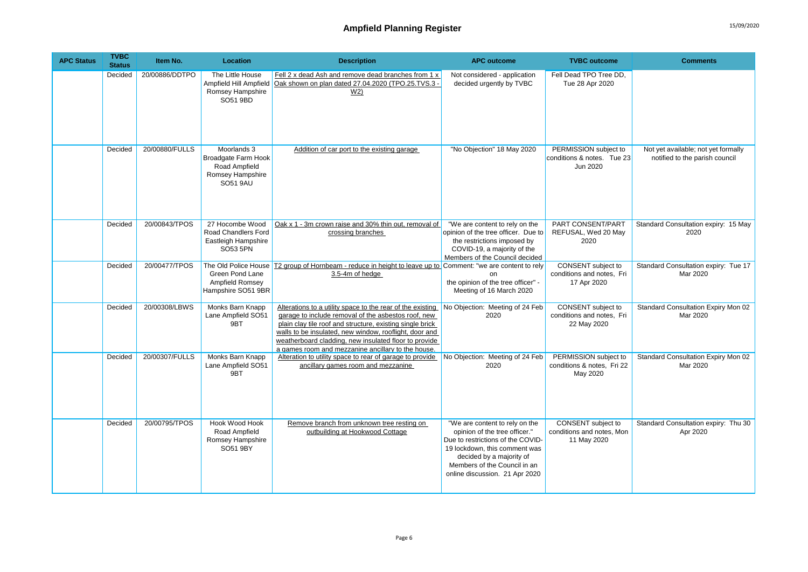| <b>APC Status</b> | <b>TVBC</b><br><b>Status</b> | Item No.       | Location                                                                            | <b>Description</b>                                                                                                                                                                                                                                                                                                                                      | <b>APC outcome</b>                                                                                                                                                                                                                  | <b>TVBC</b> outcome                                             | <b>Comments</b>                                                       |
|-------------------|------------------------------|----------------|-------------------------------------------------------------------------------------|---------------------------------------------------------------------------------------------------------------------------------------------------------------------------------------------------------------------------------------------------------------------------------------------------------------------------------------------------------|-------------------------------------------------------------------------------------------------------------------------------------------------------------------------------------------------------------------------------------|-----------------------------------------------------------------|-----------------------------------------------------------------------|
|                   | Decided                      | 20/00886/DDTPO | The Little House<br>Ampfield Hill Ampfield<br>Romsey Hampshire<br>SO51 9BD          | Fell 2 x dead Ash and remove dead branches from 1 x<br>Oak shown on plan dated 27.04.2020 (TPO.25.TVS.3 -<br>W <sub>2</sub>                                                                                                                                                                                                                             | Not considered - application<br>decided urgently by TVBC                                                                                                                                                                            | Fell Dead TPO Tree DD.<br>Tue 28 Apr 2020                       |                                                                       |
|                   | Decided                      | 20/00880/FULLS | Moorlands 3<br>Broadgate Farm Hook<br>Road Ampfield<br>Romsey Hampshire<br>SO51 9AU | Addition of car port to the existing garage                                                                                                                                                                                                                                                                                                             | "No Objection" 18 May 2020                                                                                                                                                                                                          | PERMISSION subject to<br>conditions & notes. Tue 23<br>Jun 2020 | Not yet available; not yet formally<br>notified to the parish council |
|                   | Decided                      | 20/00843/TPOS  | 27 Hocombe Wood<br><b>Road Chandlers Ford</b><br>Eastleigh Hampshire<br>SO53 5PN    | Oak x 1 - 3m crown raise and 30% thin out, removal of<br>crossing branches                                                                                                                                                                                                                                                                              | "We are content to rely on the<br>opinion of the tree officer. Due to<br>the restrictions imposed by<br>COVID-19, a majority of the<br>Members of the Council decided                                                               | PART CONSENT/PART<br>REFUSAL, Wed 20 May<br>2020                | Standard Consultation expiry: 15 May<br>2020                          |
|                   | Decided                      | 20/00477/TPOS  | The Old Police House<br>Green Pond Lane<br>Ampfield Romsey<br>Hampshire SO51 9BR    | T2 group of Hornbeam - reduce in height to leave up to Comment: "we are content to rely<br>3.5-4m of hedge                                                                                                                                                                                                                                              | on<br>the opinion of the tree officer" -<br>Meeting of 16 March 2020                                                                                                                                                                | CONSENT subject to<br>conditions and notes, Fri<br>17 Apr 2020  | Standard Consultation expiry: Tue 17<br>Mar 2020                      |
|                   | Decided                      | 20/00308/LBWS  | Monks Barn Knapp<br>Lane Ampfield SO51<br>9BT                                       | Alterations to a utility space to the rear of the existing<br>garage to include removal of the asbestos roof, new<br>plain clay tile roof and structure, existing single brick<br>walls to be insulated, new window, rooflight, door and<br>weatherboard cladding, new insulated floor to provide<br>a games room and mezzanine ancillary to the house. | No Objection: Meeting of 24 Feb<br>2020                                                                                                                                                                                             | CONSENT subject to<br>conditions and notes, Fri<br>22 May 2020  | Standard Consultation Expiry Mon 02<br>Mar 2020                       |
|                   | Decided                      | 20/00307/FULLS | Monks Barn Knapp<br>Lane Ampfield SO51<br>9BT                                       | Alteration to utility space to rear of garage to provide<br>ancillary games room and mezzanine                                                                                                                                                                                                                                                          | No Objection: Meeting of 24 Feb<br>2020                                                                                                                                                                                             | PERMISSION subject to<br>conditions & notes, Fri 22<br>May 2020 | <b>Standard Consultation Expiry Mon 02</b><br>Mar 2020                |
|                   | Decided                      | 20/00795/TPOS  | <b>Hook Wood Hook</b><br>Road Ampfield<br>Romsey Hampshire<br>SO51 9BY              | Remove branch from unknown tree resting on<br>outbuilding at Hookwood Cottage                                                                                                                                                                                                                                                                           | "We are content to rely on the<br>opinion of the tree officer."<br>Due to restrictions of the COVID-<br>19 lockdown, this comment was<br>decided by a majority of<br>Members of the Council in an<br>online discussion. 21 Apr 2020 | CONSENT subject to<br>conditions and notes, Mon<br>11 May 2020  | Standard Consultation expiry: Thu 30<br>Apr 2020                      |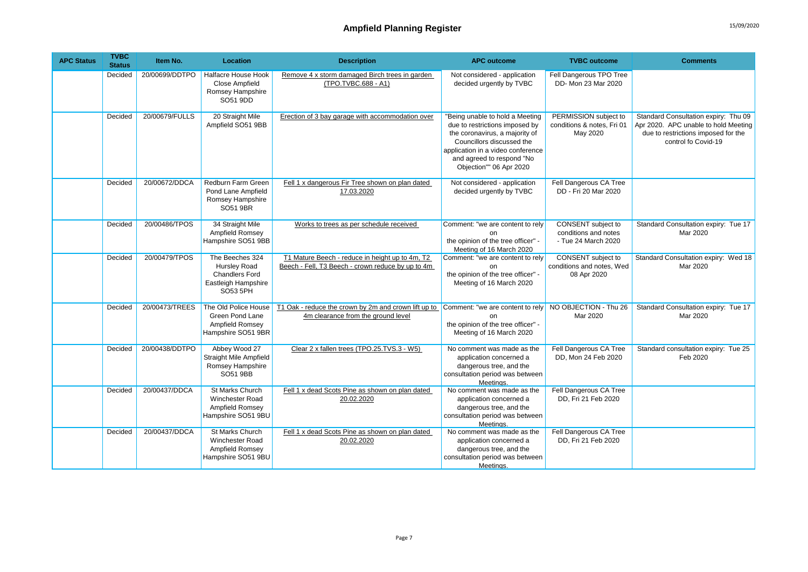| <b>APC Status</b> | <b>TVBC</b><br><b>Status</b> | Item No.       | <b>Location</b>                                                                                    | <b>Description</b>                                                                                                          | <b>APC outcome</b>                                                                                                                                                                                                            | <b>TVBC</b> outcome                                               | <b>Comments</b>                                                                                                                            |
|-------------------|------------------------------|----------------|----------------------------------------------------------------------------------------------------|-----------------------------------------------------------------------------------------------------------------------------|-------------------------------------------------------------------------------------------------------------------------------------------------------------------------------------------------------------------------------|-------------------------------------------------------------------|--------------------------------------------------------------------------------------------------------------------------------------------|
|                   | Decided                      | 20/00699/DDTPO | Halfacre House Hook<br>Close Ampfield<br>Romsey Hampshire<br>SO51 9DD                              | Remove 4 x storm damaged Birch trees in garden<br>(TPO.TVBC.688 - A1)                                                       | Not considered - application<br>decided urgently by TVBC                                                                                                                                                                      | Fell Dangerous TPO Tree<br>DD- Mon 23 Mar 2020                    |                                                                                                                                            |
|                   | Decided                      | 20/00679/FULLS | 20 Straight Mile<br>Ampfield SO51 9BB                                                              | Erection of 3 bay garage with accommodation over                                                                            | "Being unable to hold a Meeting<br>due to restrictions imposed by<br>the coronavirus, a majority of<br>Councillors discussed the<br>application in a video conference<br>and agreed to respond "No<br>Objection"" 06 Apr 2020 | PERMISSION subject to<br>conditions & notes, Fri 01<br>May 2020   | Standard Consultation expiry: Thu 09<br>Apr 2020. APC unable to hold Meeting<br>due to restrictions imposed for the<br>control fo Covid-19 |
|                   | Decided                      | 20/00672/DDCA  | Redburn Farm Green<br>Pond Lane Ampfield<br>Romsey Hampshire<br>SO51 9BR                           | Fell 1 x dangerous Fir Tree shown on plan dated<br>17.03.2020                                                               | Not considered - application<br>decided urgently by TVBC                                                                                                                                                                      | Fell Dangerous CA Tree<br>DD - Fri 20 Mar 2020                    |                                                                                                                                            |
|                   | Decided                      | 20/00486/TPOS  | 34 Straight Mile<br>Ampfield Romsey<br>Hampshire SO51 9BB                                          | Works to trees as per schedule received                                                                                     | Comment: "we are content to rely<br>on<br>the opinion of the tree officer" -<br>Meeting of 16 March 2020                                                                                                                      | CONSENT subject to<br>conditions and notes<br>- Tue 24 March 2020 | Standard Consultation expiry: Tue 17<br>Mar 2020                                                                                           |
|                   | Decided                      | 20/00479/TPOS  | The Beeches 324<br><b>Hursley Road</b><br><b>Chandlers Ford</b><br>Eastleigh Hampshire<br>SO53 5PH | T1 Mature Beech - reduce in height up to 4m, T2<br>Beech - Fell. T3 Beech - crown reduce by up to 4m                        | Comment: "we are content to rely<br><sub>on</sub><br>the opinion of the tree officer" -<br>Meeting of 16 March 2020                                                                                                           | CONSENT subject to<br>conditions and notes, Wed<br>08 Apr 2020    | Standard Consultation expiry: Wed 18<br>Mar 2020                                                                                           |
|                   | Decided                      | 20/00473/TREES | The Old Police House<br>Green Pond Lane<br>Ampfield Romsey<br>Hampshire SO51 9BR                   | T1 Oak - reduce the crown by 2m and crown lift up to Comment: "we are content to rely<br>4m clearance from the ground level | <sub>on</sub><br>the opinion of the tree officer" -<br>Meeting of 16 March 2020                                                                                                                                               | NO OBJECTION - Thu 26<br>Mar 2020                                 | Standard Consultation expiry: Tue 17<br>Mar 2020                                                                                           |
|                   | Decided                      | 20/00438/DDTPO | Abbey Wood 27<br>Straight Mile Ampfield<br>Romsey Hampshire<br>SO51 9BB                            | Clear 2 x fallen trees (TPO.25.TVS.3 - W5)                                                                                  | No comment was made as the<br>application concerned a<br>dangerous tree, and the<br>consultation period was between<br>Meetings.                                                                                              | Fell Dangerous CA Tree<br>DD, Mon 24 Feb 2020                     | Standard consultation expiry: Tue 25<br>Feb 2020                                                                                           |
|                   | Decided                      | 20/00437/DDCA  | St Marks Church<br>Winchester Road<br>Ampfield Romsey<br>Hampshire SO51 9BU                        | Fell 1 x dead Scots Pine as shown on plan dated<br>20.02.2020                                                               | No comment was made as the<br>application concerned a<br>dangerous tree, and the<br>consultation period was between<br>Meetings.                                                                                              | Fell Dangerous CA Tree<br>DD, Fri 21 Feb 2020                     |                                                                                                                                            |
|                   | Decided                      | 20/00437/DDCA  | St Marks Church<br>Winchester Road<br>Ampfield Romsey<br>Hampshire SO51 9BU                        | Fell 1 x dead Scots Pine as shown on plan dated<br>20.02.2020                                                               | No comment was made as the<br>application concerned a<br>dangerous tree, and the<br>consultation period was between<br>Meetings.                                                                                              | Fell Dangerous CA Tree<br>DD, Fri 21 Feb 2020                     |                                                                                                                                            |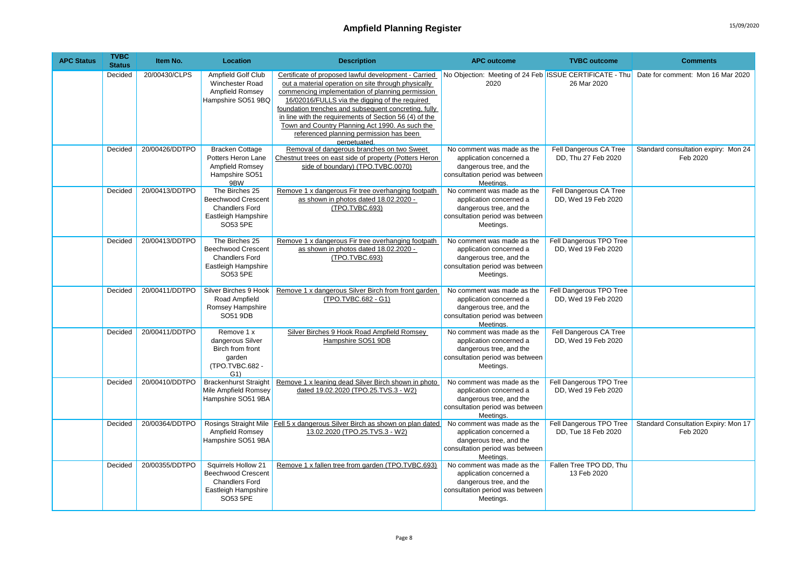| <b>APC Status</b> | <b>TVBC</b><br><b>Status</b> | Item No.       | Location                                                                                                     | <b>Description</b>                                                                                                                                                                                                                                                                                                                                                                                                                                | <b>APC outcome</b>                                                                                                               | <b>TVBC</b> outcome                            | <b>Comments</b>                                  |
|-------------------|------------------------------|----------------|--------------------------------------------------------------------------------------------------------------|---------------------------------------------------------------------------------------------------------------------------------------------------------------------------------------------------------------------------------------------------------------------------------------------------------------------------------------------------------------------------------------------------------------------------------------------------|----------------------------------------------------------------------------------------------------------------------------------|------------------------------------------------|--------------------------------------------------|
|                   | Decided                      | 20/00430/CLPS  | Ampfield Golf Club<br><b>Winchester Road</b><br>Ampfield Romsey<br>Hampshire SO51 9BQ                        | Certificate of proposed lawful development - Carried<br>out a material operation on site through physically<br>commencing implementation of planning permission<br>16/02016/FULLS via the digging of the required<br>foundation trenches and subsequent concreting, fully<br>in line with the requirements of Section 56 (4) of the<br>Town and Country Planning Act 1990. As such the<br>referenced planning permission has been<br>perpetuated. | No Objection: Meeting of 24 Feb ISSUE CERTIFICATE - Thu<br>2020                                                                  | 26 Mar 2020                                    | Date for comment: Mon 16 Mar 2020                |
|                   | Decided                      | 20/00426/DDTPO | <b>Bracken Cottage</b><br>Potters Heron Lane<br>Ampfield Romsey<br>Hampshire SO51<br>9BW                     | Removal of dangerous branches on two Sweet<br>Chestnut trees on east side of property (Potters Heron<br>side of boundary) (TPO.TVBC.0070)                                                                                                                                                                                                                                                                                                         | No comment was made as the<br>application concerned a<br>dangerous tree, and the<br>consultation period was between<br>Meetings. | Fell Dangerous CA Tree<br>DD, Thu 27 Feb 2020  | Standard consultation expiry: Mon 24<br>Feb 2020 |
|                   | Decided                      | 20/00413/DDTPO | The Birches 25<br><b>Beechwood Crescent</b><br><b>Chandlers Ford</b><br>Eastleigh Hampshire<br>SO53 5PE      | Remove 1 x dangerous Fir tree overhanging footpath<br>as shown in photos dated 18.02.2020 -<br>(TPO.TVBC.693)                                                                                                                                                                                                                                                                                                                                     | No comment was made as the<br>application concerned a<br>dangerous tree, and the<br>consultation period was between<br>Meetings. | Fell Dangerous CA Tree<br>DD, Wed 19 Feb 2020  |                                                  |
|                   | Decided                      | 20/00413/DDTPO | The Birches 25<br><b>Beechwood Crescent</b><br><b>Chandlers Ford</b><br>Eastleigh Hampshire<br>SO53 5PE      | Remove 1 x dangerous Fir tree overhanging footpath<br>as shown in photos dated 18.02.2020 -<br>(TPO.TVBC.693)                                                                                                                                                                                                                                                                                                                                     | No comment was made as the<br>application concerned a<br>dangerous tree, and the<br>consultation period was between<br>Meetings. | Fell Dangerous TPO Tree<br>DD, Wed 19 Feb 2020 |                                                  |
|                   | Decided                      | 20/00411/DDTPO | Silver Birches 9 Hook<br>Road Ampfield<br>Romsey Hampshire<br>SO51 9DB                                       | Remove 1 x dangerous Silver Birch from front garden<br>(TPO.TVBC.682 - G1)                                                                                                                                                                                                                                                                                                                                                                        | No comment was made as the<br>application concerned a<br>dangerous tree, and the<br>consultation period was between<br>Meetings. | Fell Dangerous TPO Tree<br>DD. Wed 19 Feb 2020 |                                                  |
|                   | Decided                      | 20/00411/DDTPO | Remove 1 x<br>dangerous Silver<br>Birch from front<br>garden<br>(TPO.TVBC.682 -<br>G1                        | Silver Birches 9 Hook Road Ampfield Romsey<br>Hampshire SO51 9DB                                                                                                                                                                                                                                                                                                                                                                                  | No comment was made as the<br>application concerned a<br>dangerous tree, and the<br>consultation period was between<br>Meetings. | Fell Dangerous CA Tree<br>DD, Wed 19 Feb 2020  |                                                  |
|                   | Decided                      | 20/00410/DDTPO | <b>Brackenhurst Straight</b><br>Mile Ampfield Romsey<br>Hampshire SO51 9BA                                   | Remove 1 x leaning dead Silver Birch shown in photo<br>dated 19.02.2020 (TPO.25.TVS.3 - W2)                                                                                                                                                                                                                                                                                                                                                       | No comment was made as the<br>application concerned a<br>dangerous tree, and the<br>consultation period was between<br>Meetings. | Fell Dangerous TPO Tree<br>DD. Wed 19 Feb 2020 |                                                  |
|                   | Decided                      | 20/00364/DDTPO | Ampfield Romsey<br>Hampshire SO51 9BA                                                                        | Rosings Straight Mile   Fell 5 x dangerous Silver Birch as shown on plan dated<br>13.02.2020 (TPO.25.TVS.3 - W2)                                                                                                                                                                                                                                                                                                                                  | No comment was made as the<br>application concerned a<br>dangerous tree, and the<br>consultation period was between<br>Meetings. | Fell Dangerous TPO Tree<br>DD, Tue 18 Feb 2020 | Standard Consultation Expiry: Mon 17<br>Feb 2020 |
|                   | Decided                      | 20/00355/DDTPO | Squirrels Hollow 21<br><b>Beechwood Crescent</b><br><b>Chandlers Ford</b><br>Eastleigh Hampshire<br>SO53 5PE | Remove 1 x fallen tree from garden (TPO.TVBC.693)                                                                                                                                                                                                                                                                                                                                                                                                 | No comment was made as the<br>application concerned a<br>dangerous tree, and the<br>consultation period was between<br>Meetings. | Fallen Tree TPO DD, Thu<br>13 Feb 2020         |                                                  |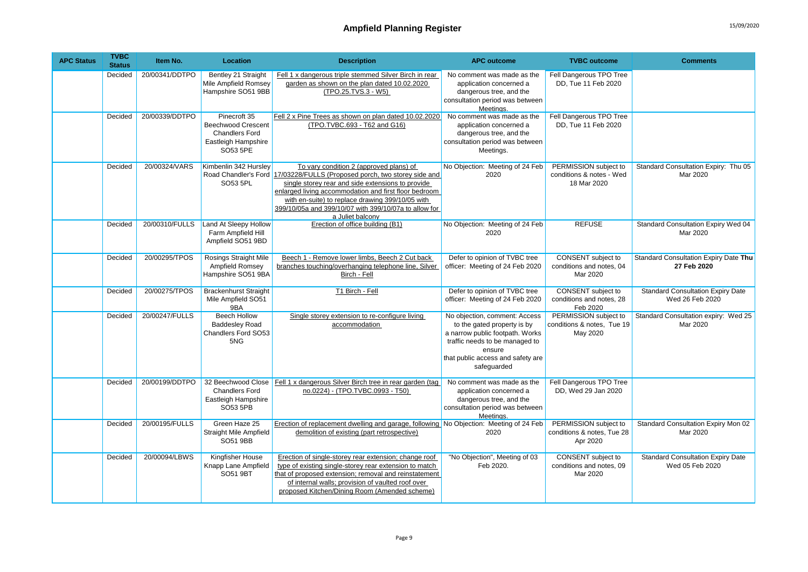| <b>APC Status</b> | <b>TVBC</b><br><b>Status</b> | Item No.       | <b>Location</b>                                                                                       | <b>Description</b>                                                                                                                                                                                                                                                                                                                                                 | <b>APC outcome</b>                                                                                                                                                                              | <b>TVBC</b> outcome                                               | <b>Comments</b>                                             |
|-------------------|------------------------------|----------------|-------------------------------------------------------------------------------------------------------|--------------------------------------------------------------------------------------------------------------------------------------------------------------------------------------------------------------------------------------------------------------------------------------------------------------------------------------------------------------------|-------------------------------------------------------------------------------------------------------------------------------------------------------------------------------------------------|-------------------------------------------------------------------|-------------------------------------------------------------|
|                   | Decided                      | 20/00341/DDTPO | Bentley 21 Straight<br>Mile Ampfield Romsey<br>Hampshire SO51 9BB                                     | Fell 1 x dangerous triple stemmed Silver Birch in rear<br>garden as shown on the plan dated 10.02.2020<br>(TPO.25.TVS.3 - W5)                                                                                                                                                                                                                                      | No comment was made as the<br>application concerned a<br>dangerous tree, and the<br>consultation period was between<br>Meetings.                                                                | Fell Dangerous TPO Tree<br>DD, Tue 11 Feb 2020                    |                                                             |
|                   | Decided                      | 20/00339/DDTPO | Pinecroft 35<br><b>Beechwood Crescent</b><br><b>Chandlers Ford</b><br>Eastleigh Hampshire<br>SO53 5PE | Fell 2 x Pine Trees as shown on plan dated 10.02.2020<br>(TPO.TVBC.693 - T62 and G16)                                                                                                                                                                                                                                                                              | No comment was made as the<br>application concerned a<br>dangerous tree, and the<br>consultation period was between<br>Meetings.                                                                | Fell Dangerous TPO Tree<br>DD. Tue 11 Feb 2020                    |                                                             |
|                   | Decided                      | 20/00324/VARS  | Kimbenlin 342 Hursley<br>SO53 5PL                                                                     | To vary condition 2 (approved plans) of<br>Road Chandler's Ford 17/03228/FULLS (Proposed porch, two storey side and<br>single storey rear and side extensions to provide<br>enlarged living accommodation and first floor bedroom<br>with en-suite) to replace drawing 399/10/05 with<br>399/10/05a and 399/10/07 with 399/10/07a to allow for<br>a Juliet balcony | No Objection: Meeting of 24 Feb<br>2020                                                                                                                                                         | PERMISSION subject to<br>conditions & notes - Wed<br>18 Mar 2020  | Standard Consultation Expiry: Thu 05<br>Mar 2020            |
|                   | Decided                      | 20/00310/FULLS | Land At Sleepy Hollow<br>Farm Ampfield Hill<br>Ampfield SO51 9BD                                      | Erection of office building (B1)                                                                                                                                                                                                                                                                                                                                   | No Objection: Meeting of 24 Feb<br>2020                                                                                                                                                         | <b>REFUSE</b>                                                     | Standard Consultation Expiry Wed 04<br>Mar 2020             |
|                   | Decided                      | 20/00295/TPOS  | <b>Rosings Straight Mile</b><br>Ampfield Romsey<br>Hampshire SO51 9BA                                 | Beech 1 - Remove lower limbs, Beech 2 Cut back<br>branches touching/overhanging telephone line, Silver<br>Birch - Fell                                                                                                                                                                                                                                             | Defer to opinion of TVBC tree<br>officer: Meeting of 24 Feb 2020                                                                                                                                | CONSENT subject to<br>conditions and notes, 04<br>Mar 2020        | Standard Consultation Expiry Date Thu<br>27 Feb 2020        |
|                   | Decided                      | 20/00275/TPOS  | <b>Brackenhurst Straight</b><br>Mile Ampfield SO51<br>9BA                                             | T1 Birch - Fell                                                                                                                                                                                                                                                                                                                                                    | Defer to opinion of TVBC tree<br>officer: Meeting of 24 Feb 2020                                                                                                                                | <b>CONSENT</b> subject to<br>conditions and notes, 28<br>Feb 2020 | <b>Standard Consultation Expiry Date</b><br>Wed 26 Feb 2020 |
|                   | Decided                      | 20/00247/FULLS | <b>Beech Hollow</b><br><b>Baddesley Road</b><br>Chandlers Ford SO53<br>5NG                            | Single storey extension to re-configure living<br>accommodation                                                                                                                                                                                                                                                                                                    | No objection, comment: Access<br>to the gated property is by<br>a narrow public footpath. Works<br>traffic needs to be managed to<br>ensure<br>that public access and safety are<br>safeguarded | PERMISSION subject to<br>conditions & notes, Tue 19<br>May 2020   | Standard Consultation expiry: Wed 25<br>Mar 2020            |
|                   | Decided                      | 20/00199/DDTPO | <b>Chandlers Ford</b><br>Eastleigh Hampshire<br>SO53 5PB                                              | 32 Beechwood Close   Fell 1 x dangerous Silver Birch tree in rear garden (tag   No comment was made as the<br>no.0224) - (TPO.TVBC.0993 - T50)                                                                                                                                                                                                                     | application concerned a<br>dangerous tree, and the<br>consultation period was between<br>Meetings.                                                                                              | Fell Dangerous TPO Tree<br>DD, Wed 29 Jan 2020                    |                                                             |
|                   | Decided                      | 20/00195/FULLS | Green Haze 25<br><b>Straight Mile Ampfield</b><br>SO51 9BB                                            | Erection of replacement dwelling and garage, following No Objection: Meeting of 24 Feb<br>demolition of existing (part retrospective)                                                                                                                                                                                                                              | 2020                                                                                                                                                                                            | PERMISSION subject to<br>conditions & notes, Tue 28<br>Apr 2020   | Standard Consultation Expiry Mon 02<br>Mar 2020             |
|                   | Decided                      | 20/00094/LBWS  | Kingfisher House<br>Knapp Lane Ampfield<br><b>SO51 9BT</b>                                            | Erection of single-storey rear extension; change roof<br>type of existing single-storey rear extension to match<br>that of proposed extension; removal and reinstatement<br>of internal walls; provision of vaulted roof over<br>proposed Kitchen/Dining Room (Amended scheme)                                                                                     | "No Objection", Meeting of 03<br>Feb 2020.                                                                                                                                                      | CONSENT subject to<br>conditions and notes, 09<br>Mar 2020        | <b>Standard Consultation Expiry Date</b><br>Wed 05 Feb 2020 |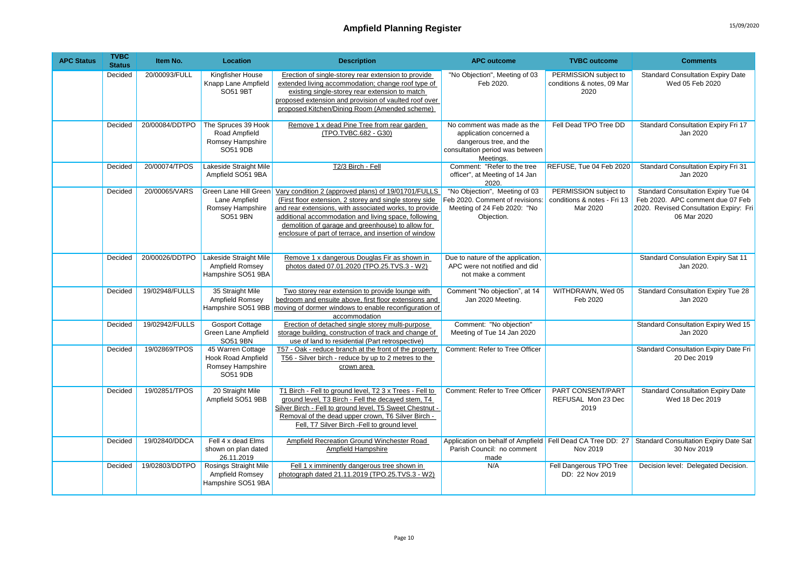| <b>APC Status</b> | <b>TVBC</b><br><b>Status</b> | Item No.       | Location                                                                       | <b>Description</b>                                                                                                                                                                                                                                                                                                                             | <b>APC outcome</b>                                                                                                               | <b>TVBC</b> outcome                                              | <b>Comments</b>                                                                                                                  |
|-------------------|------------------------------|----------------|--------------------------------------------------------------------------------|------------------------------------------------------------------------------------------------------------------------------------------------------------------------------------------------------------------------------------------------------------------------------------------------------------------------------------------------|----------------------------------------------------------------------------------------------------------------------------------|------------------------------------------------------------------|----------------------------------------------------------------------------------------------------------------------------------|
|                   | Decided                      | 20/00093/FULL  | Kingfisher House<br>Knapp Lane Ampfield<br><b>SO51 9BT</b>                     | Erection of single-storey rear extension to provide<br>extended living accommodation; change roof type of<br>existing single-storey rear extension to match<br>proposed extension and provision of vaulted roof over<br>proposed Kitchen/Dining Room (Amended scheme)                                                                          | "No Objection", Meeting of 03<br>Feb 2020.                                                                                       | PERMISSION subject to<br>conditions & notes, 09 Mar<br>2020      | <b>Standard Consultation Expiry Date</b><br>Wed 05 Feb 2020                                                                      |
|                   | Decided                      | 20/00084/DDTPO | The Spruces 39 Hook<br>Road Ampfield<br>Romsey Hampshire<br>SO51 9DB           | Remove 1 x dead Pine Tree from rear garden<br>(TPO.TVBC.682 - G30)                                                                                                                                                                                                                                                                             | No comment was made as the<br>application concerned a<br>dangerous tree, and the<br>consultation period was between<br>Meetings. | Fell Dead TPO Tree DD                                            | Standard Consultation Expiry Fri 17<br>Jan 2020                                                                                  |
|                   | Decided                      | 20/00074/TPOS  | Lakeside Straight Mile<br>Ampfield SO51 9BA                                    | T2/3 Birch - Fell                                                                                                                                                                                                                                                                                                                              | Comment: "Refer to the tree<br>officer", at Meeting of 14 Jan<br>2020.                                                           | REFUSE, Tue 04 Feb 2020                                          | Standard Consultation Expiry Fri 31<br>Jan 2020                                                                                  |
|                   | Decided                      | 20/00065/VARS  | Green Lane Hill Green<br>Lane Ampfield<br>Romsey Hampshire<br>SO51 9BN         | Vary condition 2 (approved plans) of 19/01701/FULLS<br>(First floor extension, 2 storey and single storey side<br>and rear extensions, with associated works, to provide<br>additional accommodation and living space, following<br>demolition of garage and greenhouse) to allow for<br>enclosure of part of terrace, and insertion of window | "No Objection", Meeting of 03<br>Feb 2020. Comment of revisions:<br>Meeting of 24 Feb 2020: "No<br>Objection.                    | PERMISSION subject to<br>conditions & notes - Fri 13<br>Mar 2020 | Standard Consultation Expiry Tue 04<br>Feb 2020. APC comment due 07 Feb<br>2020. Revised Consultation Expiry: Fri<br>06 Mar 2020 |
|                   | Decided                      | 20/00026/DDTPO | Lakeside Straight Mile<br>Ampfield Romsey<br>Hampshire SO51 9BA                | Remove 1 x dangerous Douglas Fir as shown in<br>photos dated 07.01.2020 (TPO.25.TVS.3 - W2)                                                                                                                                                                                                                                                    | Due to nature of the application,<br>APC were not notified and did<br>not make a comment                                         |                                                                  | Standard Consulation Expiry Sat 11<br>Jan 2020.                                                                                  |
|                   | Decided                      | 19/02948/FULLS | 35 Straight Mile<br>Ampfield Romsey<br>Hampshire SO51 9BB                      | Two storey rear extension to provide lounge with<br>bedroom and ensuite above, first floor extensions and<br>moving of dormer windows to enable reconfiguration of<br>accommodation                                                                                                                                                            | Comment "No objection", at 14<br>Jan 2020 Meeting.                                                                               | WITHDRAWN, Wed 05<br>Feb 2020                                    | <b>Standard Consultation Expiry Tue 28</b><br>Jan 2020                                                                           |
|                   | Decided                      | 19/02942/FULLS | <b>Gosport Cottage</b><br>Green Lane Ampfield<br>SO51 9BN                      | Erection of detached single storey multi-purpose<br>storage building, construction of track and change of<br>use of land to residential (Part retrospective)                                                                                                                                                                                   | Comment: "No objection"<br>Meeting of Tue 14 Jan 2020                                                                            |                                                                  | <b>Standard Consultation Expiry Wed 15</b><br>Jan 2020                                                                           |
|                   | Decided                      | 19/02869/TPOS  | 45 Warren Cottage<br><b>Hook Road Ampfield</b><br>Romsey Hampshire<br>SO51 9DB | T57 - Oak - reduce branch at the front of the property<br>T56 - Silver birch - reduce by up to 2 metres to the<br>crown area                                                                                                                                                                                                                   | Comment: Refer to Tree Officer                                                                                                   |                                                                  | Standard Consultation Expiry Date Fri<br>20 Dec 2019                                                                             |
|                   | Decided                      | 19/02851/TPOS  | 20 Straight Mile<br>Ampfield SO51 9BB                                          | T1 Birch - Fell to ground level, T2 3 x Trees - Fell to<br>ground level, T3 Birch - Fell the decayed stem, T4<br>Silver Birch - Fell to ground level. T5 Sweet Chestnut -<br>Removal of the dead upper crown, T6 Silver Birch -<br>Fell, T7 Silver Birch -Fell to ground level                                                                 | Comment: Refer to Tree Officer                                                                                                   | PART CONSENT/PART<br>REFUSAL Mon 23 Dec<br>2019                  | <b>Standard Consultation Expiry Date</b><br>Wed 18 Dec 2019                                                                      |
|                   | Decided                      | 19/02840/DDCA  | Fell 4 x dead Elms<br>shown on plan dated<br>26.11.2019                        | <b>Ampfield Recreation Ground Winchester Road</b><br>Ampfield Hampshire                                                                                                                                                                                                                                                                        | Parish Council: no comment<br>made                                                                                               | Nov 2019                                                         | Application on behalf of Ampfield   Fell Dead CA Tree DD: 27   Standard Consultation Expiry Date Sat<br>30 Nov 2019              |
|                   | Decided                      | 19/02803/DDTPO | <b>Rosings Straight Mile</b><br>Ampfield Romsey<br>Hampshire SO51 9BA          | Fell 1 x imminently dangerous tree shown in<br>photograph dated 21.11.2019 (TPO.25.TVS.3 - W2)                                                                                                                                                                                                                                                 | N/A                                                                                                                              | Fell Dangerous TPO Tree<br>DD: 22 Nov 2019                       | Decision level: Delegated Decision.                                                                                              |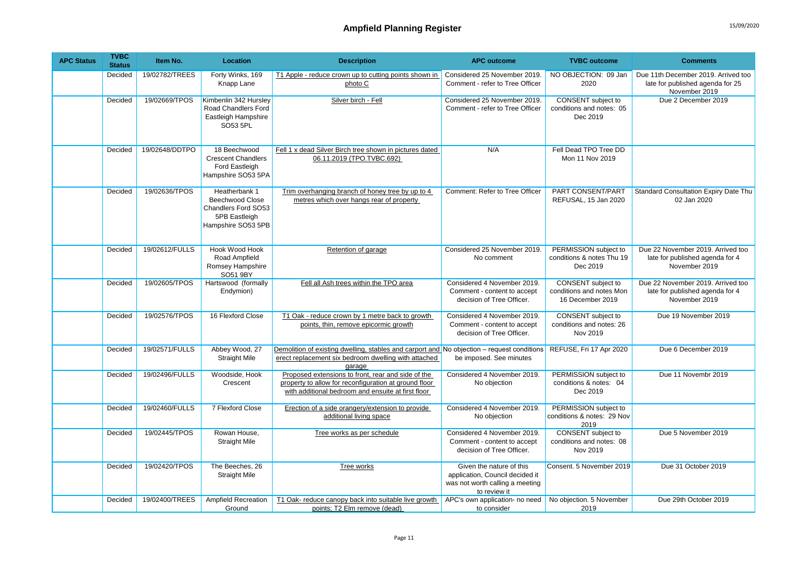| <b>APC Status</b> | <b>TVBC</b><br><b>Status</b> | Item No.       | Location                                                                                              | <b>Description</b>                                                                                                                                                | <b>APC outcome</b>                                                                                             | <b>TVBC</b> outcome                                                | <b>Comments</b>                                                                          |
|-------------------|------------------------------|----------------|-------------------------------------------------------------------------------------------------------|-------------------------------------------------------------------------------------------------------------------------------------------------------------------|----------------------------------------------------------------------------------------------------------------|--------------------------------------------------------------------|------------------------------------------------------------------------------------------|
|                   | Decided                      | 19/02782/TREES | Forty Winks, 169<br>Knapp Lane                                                                        | T1 Apple - reduce crown up to cutting points shown in<br>photo C                                                                                                  | Considered 25 November 2019.<br>Comment - refer to Tree Officer                                                | NO OBJECTION: 09 Jan<br>2020                                       | Due 11th December 2019. Arrived too<br>late for published agenda for 25<br>November 2019 |
|                   | Decided                      | 19/02669/TPOS  | Kimbenlin 342 Hursley<br>Road Chandlers Ford<br>Eastleigh Hampshire<br>SO53 5PL                       | Silver birch - Fell                                                                                                                                               | Considered 25 November 2019.<br>Comment - refer to Tree Officer                                                | CONSENT subject to<br>conditions and notes: 05<br>Dec 2019         | Due 2 December 2019                                                                      |
|                   | Decided                      | 19/02648/DDTPO | 18 Beechwood<br><b>Crescent Chandlers</b><br>Ford Eastleigh<br>Hampshire SO53 5PA                     | Fell 1 x dead Silver Birch tree shown in pictures dated<br>06.11.2019 (TPO.TVBC.692)                                                                              | N/A                                                                                                            | Fell Dead TPO Tree DD<br>Mon 11 Nov 2019                           |                                                                                          |
|                   | Decided                      | 19/02636/TPOS  | Heatherbank 1<br><b>Beechwood Close</b><br>Chandlers Ford SO53<br>5PB Eastleigh<br>Hampshire SO53 5PB | Trim overhanging branch of honey tree by up to 4<br>metres which over hangs rear of property                                                                      | Comment: Refer to Tree Officer                                                                                 | PART CONSENT/PART<br>REFUSAL, 15 Jan 2020                          | <b>Standard Consultation Expiry Date Thu</b><br>02 Jan 2020                              |
|                   | Decided                      | 19/02612/FULLS | Hook Wood Hook<br>Road Ampfield<br>Romsey Hampshire<br>SO51 9BY                                       | Retention of garage                                                                                                                                               | Considered 25 November 2019.<br>No comment                                                                     | PERMISSION subject to<br>conditions & notes Thu 19<br>Dec 2019     | Due 22 November 2019. Arrived too<br>late for published agenda for 4<br>November 2019    |
|                   | Decided                      | 19/02605/TPOS  | Hartswood (formally<br>Endymion)                                                                      | Fell all Ash trees within the TPO area                                                                                                                            | Considered 4 November 2019.<br>Comment - content to accept<br>decision of Tree Officer.                        | CONSENT subject to<br>conditions and notes Mon<br>16 December 2019 | Due 22 November 2019, Arrived too<br>late for published agenda for 4<br>November 2019    |
|                   | Decided                      | 19/02576/TPOS  | 16 Flexford Close                                                                                     | T1 Oak - reduce crown by 1 metre back to growth<br>points, thin, remove epicormic growth                                                                          | Considered 4 November 2019.<br>Comment - content to accept<br>decision of Tree Officer.                        | <b>CONSENT</b> subject to<br>conditions and notes: 26<br>Nov 2019  | Due 19 November 2019                                                                     |
|                   | Decided                      | 19/02571/FULLS | Abbey Wood, 27<br><b>Straight Mile</b>                                                                | Demolition of existing dwelling, stables and carport and No objection – request conditions<br>erect replacement six bedroom dwelling with attached<br>qaraqe      | be imposed. See minutes                                                                                        | REFUSE, Fri 17 Apr 2020                                            | Due 6 December 2019                                                                      |
|                   | Decided                      | 19/02496/FULLS | Woodside, Hook<br>Crescent                                                                            | Proposed extensions to front, rear and side of the<br>property to allow for reconfiguration at ground floor<br>with additional bedroom and ensuite at first floor | Considered 4 November 2019.<br>No objection                                                                    | PERMISSION subject to<br>conditions & notes: 04<br>Dec 2019        | Due 11 Novembr 2019                                                                      |
|                   | Decided                      | 19/02460/FULLS | 7 Flexford Close                                                                                      | Erection of a side orangery/extension to provide<br>additional living space                                                                                       | Considered 4 November 2019.<br>No objection                                                                    | PERMISSION subject to<br>conditions & notes: 29 Nov<br>2019        |                                                                                          |
|                   | Decided                      | 19/02445/TPOS  | Rowan House,<br><b>Straight Mile</b>                                                                  | Tree works as per schedule                                                                                                                                        | Considered 4 November 2019.<br>Comment - content to accept<br>decision of Tree Officer.                        | <b>CONSENT</b> subject to<br>conditions and notes: 08<br>Nov 2019  | Due 5 November 2019                                                                      |
|                   | Decided                      | 19/02420/TPOS  | The Beeches, 26<br><b>Straight Mile</b>                                                               | Tree works                                                                                                                                                        | Given the nature of this<br>application, Council decided it<br>was not worth calling a meeting<br>to review it | Consent. 5 November 2019                                           | Due 31 October 2019                                                                      |
|                   | Decided                      | 19/02400/TREES | Ampfield Recreation<br>Ground                                                                         | T1 Oak- reduce canopy back into suitable live growth<br>points; T2 Elm remove (dead)                                                                              | APC's own application- no need<br>to consider                                                                  | No objection. 5 November<br>2019                                   | Due 29th October 2019                                                                    |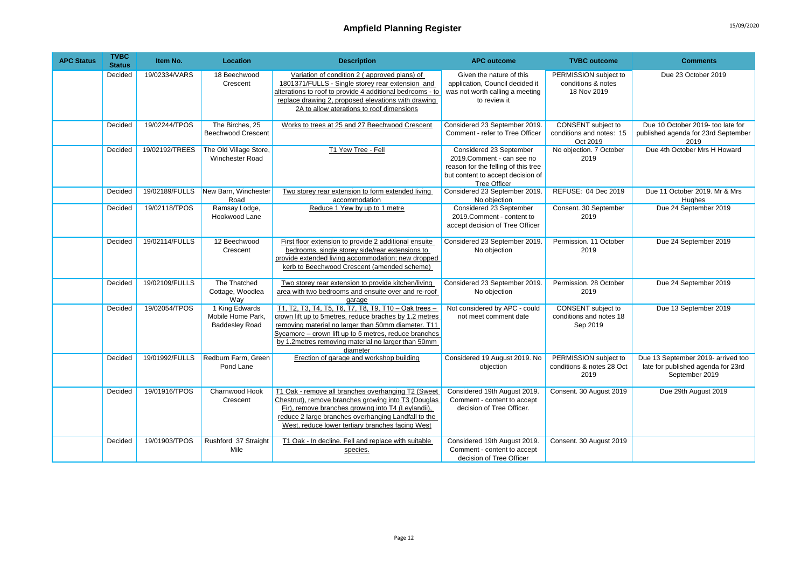| <b>APC Status</b> | <b>TVBC</b><br><b>Status</b> | Item No.       | Location                                                     | <b>Description</b>                                                                                                                                                                                                                                                                                 | <b>APC outcome</b>                                                                                                                               | <b>TVBC</b> outcome                                              | <b>Comments</b>                                                                            |
|-------------------|------------------------------|----------------|--------------------------------------------------------------|----------------------------------------------------------------------------------------------------------------------------------------------------------------------------------------------------------------------------------------------------------------------------------------------------|--------------------------------------------------------------------------------------------------------------------------------------------------|------------------------------------------------------------------|--------------------------------------------------------------------------------------------|
|                   | Decided                      | 19/02334/VARS  | 18 Beechwood<br>Crescent                                     | Variation of condition 2 (approved plans) of<br>1801371/FULLS - Single storey rear extension and<br>alterations to roof to provide 4 additional bedrooms - to<br>replace drawing 2, proposed elevations with drawing<br>2A to allow aterations to roof dimensions                                  | Given the nature of this<br>application, Council decided it<br>was not worth calling a meeting<br>to review it                                   | PERMISSION subject to<br>conditions & notes<br>18 Nov 2019       | Due 23 October 2019                                                                        |
|                   | Decided                      | 19/02244/TPOS  | The Birches, 25<br><b>Beechwood Crescent</b>                 | Works to trees at 25 and 27 Beechwood Crescent                                                                                                                                                                                                                                                     | Considered 23 September 2019.<br>Comment - refer to Tree Officer                                                                                 | CONSENT subject to<br>conditions and notes: 15<br>Oct 2019       | Due 10 October 2019- too late for<br>published agenda for 23rd September<br>2019           |
|                   | Decided                      | 19/02192/TREES | The Old Village Store,<br>Winchester Road                    | T1 Yew Tree - Fell                                                                                                                                                                                                                                                                                 | Considered 23 September<br>2019.Comment - can see no<br>reason for the felling of this tree<br>but content to accept decision of<br>Tree Officer | No objection. 7 October<br>2019                                  | Due 4th October Mrs H Howard                                                               |
|                   | Decided                      | 19/02189/FULLS | New Barn, Winchester<br>Road                                 | Two storey rear extension to form extended living<br>accommodation                                                                                                                                                                                                                                 | Considered 23 September 2019.<br>No objection                                                                                                    | REFUSE: 04 Dec 2019                                              | Due 11 October 2019. Mr & Mrs<br>Hughes                                                    |
|                   | Decided                      | 19/02118/TPOS  | Ramsay Lodge,<br>Hookwood Lane                               | Reduce 1 Yew by up to 1 metre                                                                                                                                                                                                                                                                      | Considered 23 September<br>2019.Comment - content to<br>accept decision of Tree Officer                                                          | Consent. 30 September<br>2019                                    | Due 24 September 2019                                                                      |
|                   | Decided                      | 19/02114/FULLS | 12 Beechwood<br>Crescent                                     | First floor extension to provide 2 additional ensuite<br>bedrooms, single storey side/rear extensions to<br>provide extended living accommodation; new dropped<br>kerb to Beechwood Crescent (amended scheme)                                                                                      | Considered 23 September 2019.<br>No objection                                                                                                    | Permission, 11 October<br>2019                                   | Due 24 September 2019                                                                      |
|                   | Decided                      | 19/02109/FULLS | The Thatched<br>Cottage, Woodlea<br>Way                      | Two storey rear extension to provide kitchen/living<br>area with two bedrooms and ensuite over and re-roof<br>garage                                                                                                                                                                               | Considered 23 September 2019.<br>No objection                                                                                                    | Permission, 28 October<br>2019                                   | Due 24 September 2019                                                                      |
|                   | Decided                      | 19/02054/TPOS  | 1 King Edwards<br>Mobile Home Park,<br><b>Baddesley Road</b> | T1, T2, T3, T4, T5, T6, T7, T8, T9, T10 - Oak trees -<br>crown lift up to 5metres, reduce braches by 1.2 metres<br>removing material no larger than 50mm diameter. T11<br>Sycamore - crown lift up to 5 metres, reduce branches<br>by 1.2 metres removing material no larger than 50mm<br>diameter | Not considered by APC - could<br>not meet comment date                                                                                           | <b>CONSENT</b> subject to<br>conditions and notes 18<br>Sep 2019 | Due 13 September 2019                                                                      |
|                   | Decided                      | 19/01992/FULLS | Redburn Farm, Green<br>Pond Lane                             | Erection of garage and workshop building                                                                                                                                                                                                                                                           | Considered 19 August 2019. No<br>objection                                                                                                       | PERMISSION subject to<br>conditions & notes 28 Oct<br>2019       | Due 13 September 2019- arrived too<br>late for published agenda for 23rd<br>September 2019 |
|                   | Decided                      | 19/01916/TPOS  | Charnwood Hook<br>Crescent                                   | T1 Oak - remove all branches overhanging T2 (Sweet<br>Chestnut), remove branches growing into T3 (Douglas<br>Fir), remove branches growing into T4 (Levlandii).<br>reduce 2 large branches overhanging Landfall to the<br>West, reduce lower tertiary branches facing West                         | Considered 19th August 2019.<br>Comment - content to accept<br>decision of Tree Officer.                                                         | Consent. 30 August 2019                                          | Due 29th August 2019                                                                       |
|                   | Decided                      | 19/01903/TPOS  | Rushford 37 Straight<br>Mile                                 | T1 Oak - In decline. Fell and replace with suitable<br>species.                                                                                                                                                                                                                                    | Considered 19th August 2019.<br>Comment - content to accept<br>decision of Tree Officer                                                          | Consent. 30 August 2019                                          |                                                                                            |